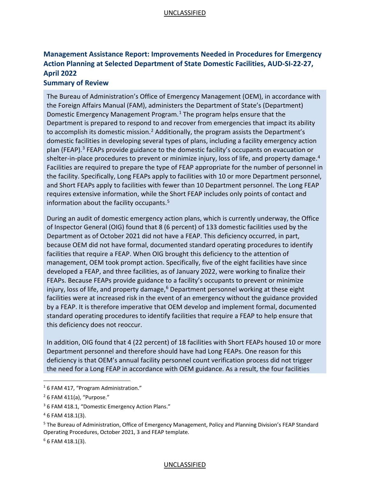# UNCLASSIFIED

# **Management Assistance Report: Improvements Needed in Procedures for Emergency Action Planning at Selected Department of State Domestic Facilities, AUD-SI-22-27, April 2022**

# **Summary of Review**

The Bureau of Administration's Office of Emergency Management (OEM), in accordance with the Foreign Affairs Manual (FAM), administers the Department of State's (Department) Domestic Emergency Management Program. [1](#page-0-0) The program helps ensure that the Department is prepared to respond to and recover from emergencies that impact its ability to accomplish its domestic mission.<sup>[2](#page-0-1)</sup> Additionally, the program assists the Department's domestic facilities in developing several types of plans, including a facility emergency action plan (FEAP).<sup>[3](#page-0-2)</sup> FEAPs provide guidance to the domestic facility's occupants on evacuation or shelter-in-place procedures to prevent or minimize injury, loss of life, and property damage.<sup>[4](#page-0-3)</sup> Facilities are required to prepare the type of FEAP appropriate for the number of personnel in the facility. Specifically, Long FEAPs apply to facilities with 10 or more Department personnel, and Short FEAPs apply to facilities with fewer than 10 Department personnel. The Long FEAP requires extensive information, while the Short FEAP includes only points of contact and information about the facility occupants.<sup>[5](#page-0-4)</sup>

During an audit of domestic emergency action plans, which is currently underway, the Office of Inspector General (OIG) found that 8 (6 percent) of 133 domestic facilities used by the Department as of October 2021 did not have a FEAP. This deficiency occurred, in part, because OEM did not have formal, documented standard operating procedures to identify facilities that require a FEAP. When OIG brought this deficiency to the attention of management, OEM took prompt action. Specifically, five of the eight facilities have since developed a FEAP, and three facilities, as of January 2022, were working to finalize their FEAPs. Because FEAPs provide guidance to a facility's occupants to prevent or minimize injury, loss of life, and property damage, [6](#page-0-5) Department personnel working at these eight facilities were at increased risk in the event of an emergency without the guidance provided by a FEAP. It is therefore imperative that OEM develop and implement formal, documented standard operating procedures to identify facilities that require a FEAP to help ensure that this deficiency does not reoccur.

In addition, OIG found that 4 (22 percent) of 18 facilities with Short FEAPs housed 10 or more Department personnel and therefore should have had Long FEAPs. One reason for this deficiency is that OEM's annual facility personnel count verification process did not trigger the need for a Long FEAP in accordance with OEM guidance. As a result, the four facilities

<span id="page-0-5"></span> $6$  6 FAM 418.1(3).

#### UNCLASSIFIED

<span id="page-0-0"></span><sup>&</sup>lt;sup>1</sup> 6 FAM 417, "Program Administration."

<span id="page-0-1"></span> $2$  6 FAM 411(a), "Purpose."

<span id="page-0-2"></span><sup>&</sup>lt;sup>3</sup> 6 FAM 418.1, "Domestic Emergency Action Plans."

<span id="page-0-3"></span><sup>4</sup> 6 FAM 418.1(3).

<span id="page-0-4"></span><sup>&</sup>lt;sup>5</sup> The Bureau of Administration, Office of Emergency Management, Policy and Planning Division's FEAP Standard Operating Procedures, October 2021, 3 and FEAP template.